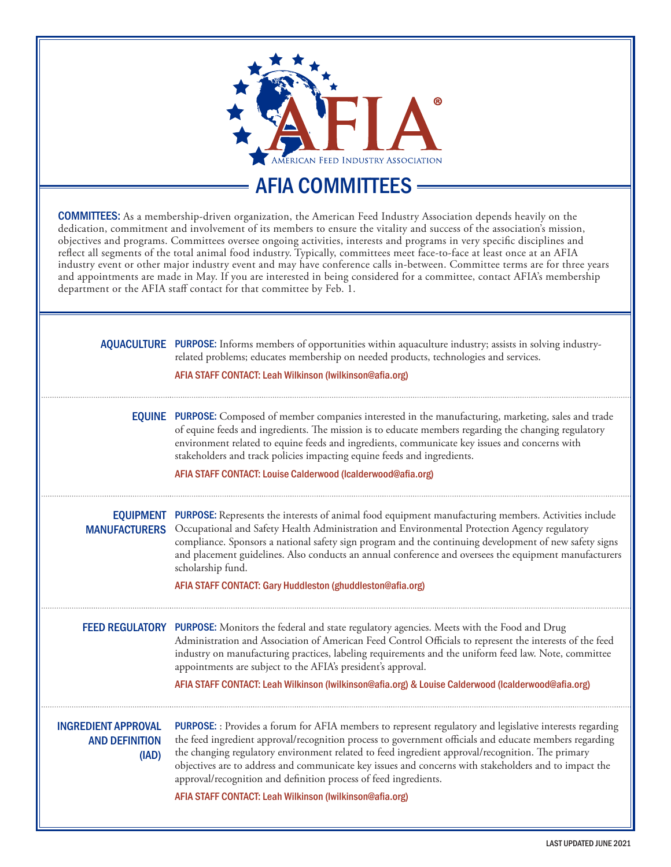

AFIA COMMITTEES

COMMITTEES: As a membership-driven organization, the American Feed Industry Association depends heavily on the dedication, commitment and involvement of its members to ensure the vitality and success of the association's mission, objectives and programs. Committees oversee ongoing activities, interests and programs in very specific disciplines and reflect all segments of the total animal food industry. Typically, committees meet face-to-face at least once at an AFIA industry event or other major industry event and may have conference calls in-between. Committee terms are for three years and appointments are made in May. If you are interested in being considered for a committee, contact AFIA's membership department or the AFIA staff contact for that committee by Feb. 1.

|                                                              | <b>AQUACULTURE</b> PURPOSE: Informs members of opportunities within aquaculture industry; assists in solving industry-<br>related problems; educates membership on needed products, technologies and services.<br>AFIA STAFF CONTACT: Leah Wilkinson (Iwilkinson@afia.org)                                                                                                                                                                                                                                                                                      |
|--------------------------------------------------------------|-----------------------------------------------------------------------------------------------------------------------------------------------------------------------------------------------------------------------------------------------------------------------------------------------------------------------------------------------------------------------------------------------------------------------------------------------------------------------------------------------------------------------------------------------------------------|
|                                                              | <b>EQUINE</b> PURPOSE: Composed of member companies interested in the manufacturing, marketing, sales and trade<br>of equine feeds and ingredients. The mission is to educate members regarding the changing regulatory<br>environment related to equine feeds and ingredients, communicate key issues and concerns with<br>stakeholders and track policies impacting equine feeds and ingredients.<br>AFIA STAFF CONTACT: Louise Calderwood (Icalderwood@afia.org)                                                                                             |
|                                                              | <b>EQUIPMENT</b> PURPOSE: Represents the interests of animal food equipment manufacturing members. Activities include<br>MANUFACTURERS Occupational and Safety Health Administration and Environmental Protection Agency regulatory<br>compliance. Sponsors a national safety sign program and the continuing development of new safety signs<br>and placement guidelines. Also conducts an annual conference and oversees the equipment manufacturers<br>scholarship fund.<br>AFIA STAFF CONTACT: Gary Huddleston (ghuddleston@afia.org)                       |
|                                                              | FEED REGULATORY PURPOSE: Monitors the federal and state regulatory agencies. Meets with the Food and Drug<br>Administration and Association of American Feed Control Officials to represent the interests of the feed<br>industry on manufacturing practices, labeling requirements and the uniform feed law. Note, committee<br>appointments are subject to the AFIA's president's approval.<br>AFIA STAFF CONTACT: Leah Wilkinson (Iwilkinson@afia.org) & Louise Calderwood (Icalderwood@afia.org)                                                            |
| <b>INGREDIENT APPROVAL</b><br><b>AND DEFINITION</b><br>(IAD) | PURPOSE: : Provides a forum for AFIA members to represent regulatory and legislative interests regarding<br>the feed ingredient approval/recognition process to government officials and educate members regarding<br>the changing regulatory environment related to feed ingredient approval/recognition. The primary<br>objectives are to address and communicate key issues and concerns with stakeholders and to impact the<br>approval/recognition and definition process of feed ingredients.<br>AFIA STAFF CONTACT: Leah Wilkinson (Iwilkinson@afia.org) |